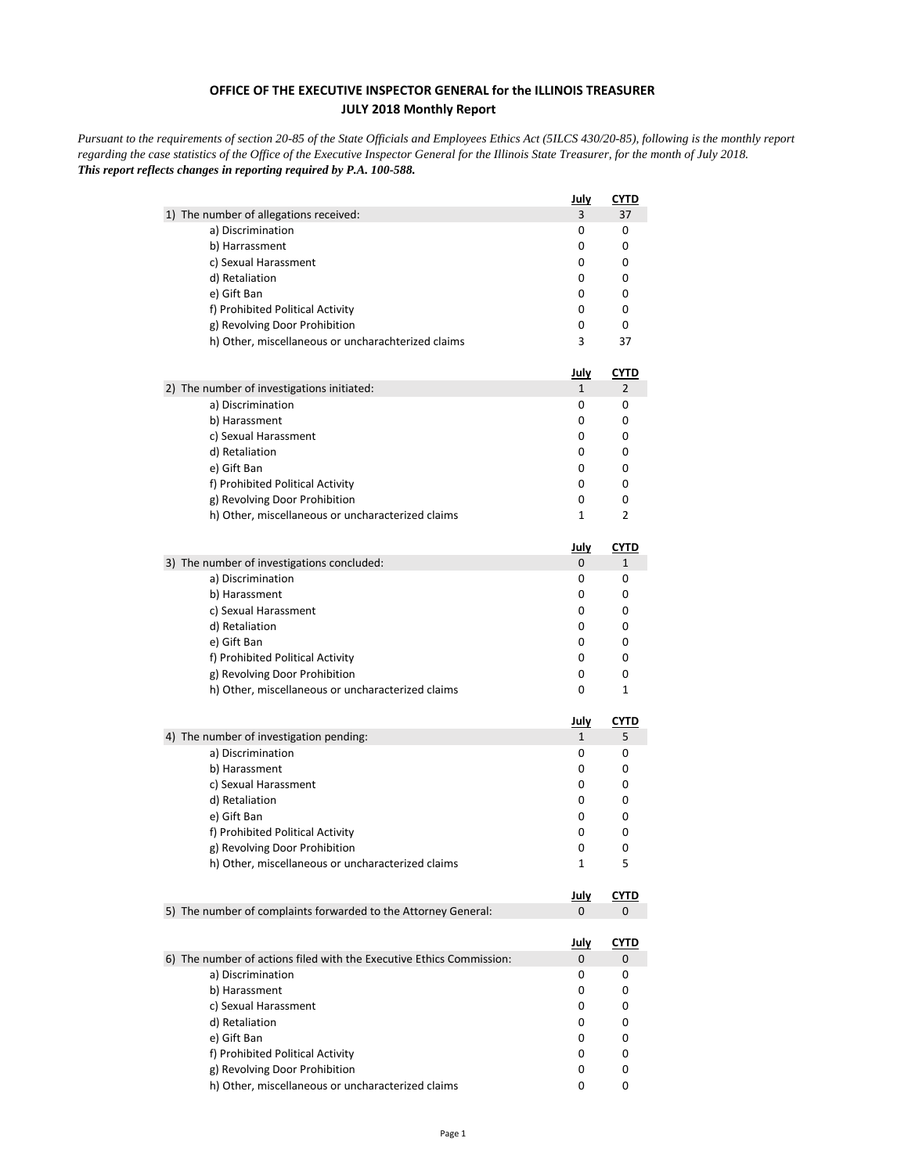## **OFFICE OF THE EXECUTIVE INSPECTOR GENERAL for the ILLINOIS TREASURER JULY 2018 Monthly Report**

*Pursuant to the requirements of section 20-85 of the State Officials and Employees Ethics Act (5ILCS 430/20-85), following is the monthly report regarding the case statistics of the Office of the Executive Inspector General for the Illinois State Treasurer, for the month of July 2018. This report reflects changes in reporting required by P.A. 100-588.*

|                                                                      | <u>July</u>       | CYTD        |
|----------------------------------------------------------------------|-------------------|-------------|
| 1) The number of allegations received:                               | 3                 | 37          |
| a) Discrimination                                                    | 0                 | 0           |
| b) Harrassment                                                       | 0                 | 0           |
| c) Sexual Harassment                                                 | 0                 | 0           |
| d) Retaliation                                                       | 0                 | 0           |
| e) Gift Ban                                                          | 0                 | 0           |
| f) Prohibited Political Activity                                     | 0                 | 0           |
| g) Revolving Door Prohibition                                        | 0                 | 0           |
| h) Other, miscellaneous or uncharachterized claims                   | 3                 | 37          |
|                                                                      | <u>July</u>       | <u>CYTD</u> |
| 2) The number of investigations initiated:<br>a) Discrimination      | $\mathbf{1}$<br>0 | 2<br>0      |
| b) Harassment                                                        | 0                 | 0           |
| c) Sexual Harassment                                                 | 0                 | 0           |
| d) Retaliation                                                       | 0                 | 0           |
| e) Gift Ban                                                          | 0                 | 0           |
| f) Prohibited Political Activity                                     | 0                 | 0           |
| g) Revolving Door Prohibition                                        | 0                 | 0           |
| h) Other, miscellaneous or uncharacterized claims                    | 1                 | 2           |
|                                                                      | <u>July</u>       | <b>CYTD</b> |
| 3) The number of investigations concluded:                           | 0                 | $\mathbf 1$ |
| a) Discrimination                                                    | 0                 | 0           |
| b) Harassment                                                        | 0                 | 0           |
| c) Sexual Harassment                                                 | 0                 | 0           |
| d) Retaliation                                                       | 0                 | 0           |
| e) Gift Ban                                                          | 0                 | 0           |
| f) Prohibited Political Activity                                     | 0                 | 0           |
| g) Revolving Door Prohibition                                        | 0                 | 0           |
| h) Other, miscellaneous or uncharacterized claims                    | 0                 | 1           |
|                                                                      | <u>July</u>       | <u>CYTD</u> |
| 4) The number of investigation pending:                              | $\mathbf{1}$      | 5           |
| a) Discrimination                                                    | 0                 | 0           |
| b) Harassment                                                        | 0                 | 0           |
| c) Sexual Harassment                                                 | 0                 | 0           |
| d) Retaliation                                                       | 0                 | 0           |
| e) Gift Ban                                                          | 0                 | 0           |
| f) Prohibited Political Activity                                     | 0                 | 0           |
| g) Revolving Door Prohibition                                        | 0                 | 0           |
| h) Other, miscellaneous or uncharacterized claims                    | 1                 | 5           |
|                                                                      | <u>July</u>       | <u>CYTD</u> |
| 5) The number of complaints forwarded to the Attorney General:       | $\mathbf{0}$      | 0           |
|                                                                      | <u>July</u>       | <u>CYTD</u> |
| 6) The number of actions filed with the Executive Ethics Commission: | 0                 | 0           |
| a) Discrimination                                                    | 0                 | 0           |
| b) Harassment                                                        | 0                 | 0           |
| c) Sexual Harassment                                                 | 0                 | 0           |
| d) Retaliation                                                       | 0                 | 0           |
| e) Gift Ban                                                          | 0                 | 0           |
| f) Prohibited Political Activity                                     | 0                 | 0           |
| g) Revolving Door Prohibition                                        | 0                 | 0           |
| h) Other, miscellaneous or uncharacterized claims                    | 0                 | 0           |